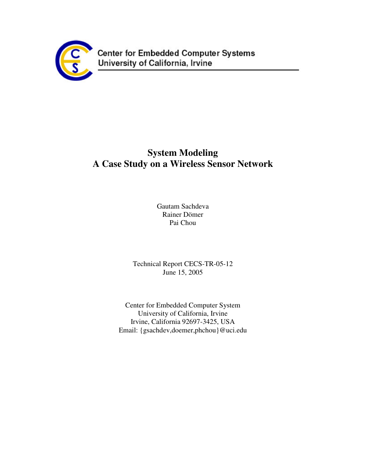

# **System Modeling A Case Study on a Wireless Sensor Network**

Gautam Sachdeva Rainer Dömer Pai Chou

Technical Report CECS-TR-05-12 June 15, 2005

Center for Embedded Computer System University of California, Irvine Irvine, California 92697-3425, USA Email: {gsachdev,doemer,phchou}@uci.edu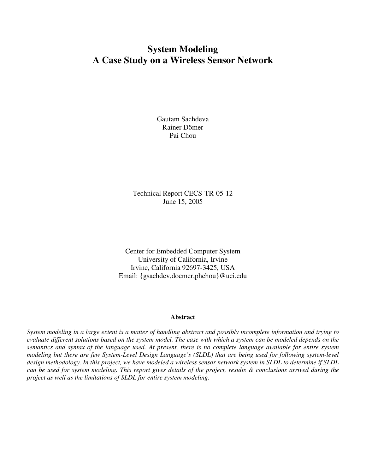## **System Modeling A Case Study on a Wireless Sensor Network**

Gautam Sachdeva Rainer Dömer Pai Chou

Technical Report CECS-TR-05-12 June 15, 2005

Center for Embedded Computer System University of California, Irvine Irvine, California 92697-3425, USA Email: {gsachdev,doemer,phchou}@uci.edu

#### **Abstract**

System modeling in a large extent is a matter of handling abstract and possibly incomplete information and trying to evaluate different solutions based on the system model. The ease with which a system can be modeled depends on the semantics and syntax of the language used. At present, there is no complete language available for entire system *modeling but there are few System-Level Design Language's (SLDL) that are being used for following system-level* design methodology. In this project, we have modeled a wireless sensor network system in SLDL to determine if SLDL can be used for system modeling. This report gives details of the project, results & conclusions arrived during the *project as well as the limitations of SLDL for entire system modeling.*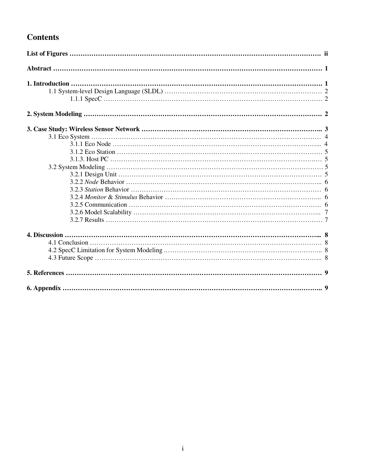## **Contents**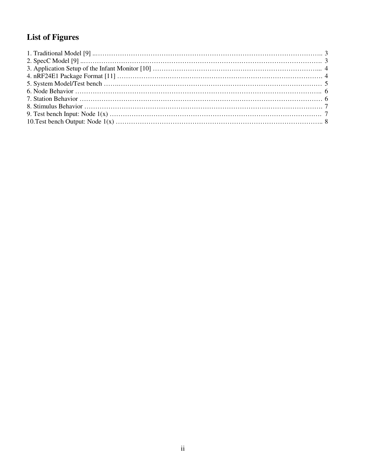# **List of Figures**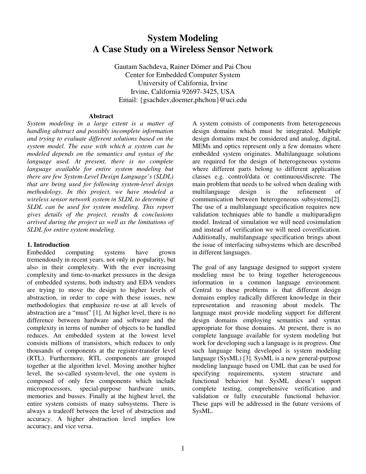## **System Modeling A Case Study on a Wireless Sensor Network**

Gautam Sachdeva, Rainer Dömer and Pai Chou Center for Embedded Computer System University of California, Irvine Irvine, California 92697-3425, USA Email: {gsachdev,doemer,phchou}@uci.edu

#### **Abstract**

*System modeling in a large extent is a matter of handling abstract and possibly incomplete information and trying to evaluate different solutions based on the system model. The ease with which a system can be modeled depends on the semantics and syntax of the language used. At present, there is no complete language available for entire system modeling but there are few System-Level Design Language's (SLDL) that are being used for following system-level design methodology. In this project, we have modeled a wireless sensor network system in SLDL to determine if SLDL can be used for system modeling. This report gives details of the project, results & conclusions arrived during the project as well as the limitations of SLDL for entire system modeling.*

## **1. Introduction**

Embedded computing systems have grown tremendously in recent years, not only in popularity, but also in their complexity. With the ever increasing complexity and time-to-market pressures in the design of embedded systems, both industry and EDA vendors are trying to move the design to higher levels of abstraction, in order to cope with these issues, new methodologies that emphasize re-use at all levels of abstraction are a "must" [1]. At higher level, there is no difference between hardware and software and the complexity in terms of number of objects to be handled reduces. An embedded system at the lowest level consists millions of transistors, which reduces to only thousands of components at the register-transfer level (RTL). Furthermore, RTL components are grouped together at the algorithm level. Moving another higher level, the so-called system-level, the one system is composed of only few components which include microprocessors, special-purpose hardware units, memories and busses. Finally at the highest level, the entire system consists of many subsystems. There is always a tradeoff between the level of abstraction and accuracy. A higher abstraction level implies low accuracy, and vice versa.

A system consists of components from heterogeneous design domains which must be integrated. Multiple design domains must be considered and analog, digital, MEMs and optics represent only a few domains where embedded system originates. Multilanguage solutions are required for the design of heterogeneous systems where different parts belong to different application classes e.g. control/data or continuous/discrete. The main problem that needs to be solved when dealing with multilanguage design is the refinement of communication between heterogeneous subsystems[2]. The use of a multilanguage specification requires new validation techniques able to handle a multiparadigm model. Instead of simulation we will need cosimulation and instead of verification we will need coverification. Additionally, multilanguage specification brings about the issue of interfacing subsystems which are described in different languages.

The goal of any language designed to support system modeling must be to bring together heterogeneous information in a common language environment. Central to these problems is that different design domains employ radically different knowledge in their representation and reasoning about models. The language must provide modeling support for different design domains employing semantics and syntax appropriate for those domains. At present, there is no complete language available for system modeling but work for developing such a language is in progress. One such language being developed is system modeling language (SysML) [3]. SysML is a new general-purpose modeling language based on UML that can be used for specifying requirements, system structure and functional behavior but SysML doesn't support complete testing, comprehensive verification and validation or fully executable functional behavior. These gaps will be addressed in the future versions of SysML.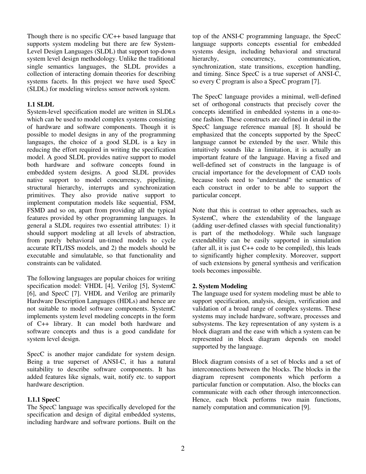Though there is no specific C/C++ based language that supports system modeling but there are few System-Level Design Languages (SLDL) that support top-down system level design methodology. Unlike the traditional single semantics languages, the SLDL provides a collection of interacting domain theories for describing systems facets. In this project we have used SpecC (SLDL) for modeling wireless sensor network system.

## **1.1 SLDL**

System-level specification model are written in SLDLs which can be used to model complex systems consisting of hardware and software components. Though it is possible to model designs in any of the programming languages, the choice of a good SLDL is a key in reducing the effort required in writing the specification model. A good SLDL provides native support to model both hardware and software concepts found in embedded system designs. A good SLDL provides native support to model concurrency, pipelining, structural hierarchy, interrupts and synchronization primitives. They also provide native support to implement computation models like sequential, FSM, FSMD and so on, apart from providing all the typical features provided by other programming languages. In general a SLDL requires two essential attributes: 1) it should support modeling at all levels of abstraction, from purely behavioral un-timed models to cycle accurate RTL/ISS models, and 2) the models should be executable and simulatable, so that functionality and constraints can be validated.

The following languages are popular choices for writing specification model: VHDL [4], Verilog [5], SystemC [6], and SpecC [7]. VHDL and Verilog are primarily Hardware Description Languages (HDLs) and hence are not suitable to model software components. SystemC implements system level modeling concepts in the form of C++ library. It can model both hardware and software concepts and thus is a good candidate for system level design.

SpecC is another major candidate for system design. Being a true superset of ANSI-C, it has a natural suitability to describe software components. It has added features like signals, wait, notify etc. to support hardware description.

## **1.1.1 SpecC**

The SpecC language was specifically developed for the specification and design of digital embedded systems, including hardware and software portions. Built on the top of the ANSI-C programming language, the SpecC language supports concepts essential for embedded systems design, including behavioral and structural hierarchy, concurrency, communication, synchronization, state transitions, exception handling, and timing. Since SpecC is a true superset of ANSI-C, so every C program is also a SpecC program [7].

The SpecC language provides a minimal, well-defined set of orthogonal constructs that precisely cover the concepts identified in embedded systems in a one-toone fashion. These constructs are defined in detail in the SpecC language reference manual [8]. It should be emphasized that the concepts supported by the SpecC language cannot be extended by the user. While this intuitively sounds like a limitation, it is actually an important feature of the language. Having a fixed and well-defined set of constructs in the language is of crucial importance for the development of CAD tools because tools need to "understand" the semantics of each construct in order to be able to support the particular concept.

Note that this is contrast to other approaches, such as SystemC, where the extendability of the language (adding user-defined classes with special functionality) is part of the methodology. While such language extendability can be easily supported in simulation (after all, it is just C++ code to be compiled), this leads to significantly higher complexity. Moreover, support of such extensions by general synthesis and verification tools becomes impossible.

## **2. System Modeling**

The language used for system modeling must be able to support specification, analysis, design, verification and validation of a broad range of complex systems. These systems may include hardware, software, processes and subsystems. The key representation of any system is a block diagram and the ease with which a system can be represented in block diagram depends on model supported by the language.

Block diagram consists of a set of blocks and a set of interconnections between the blocks. The blocks in the diagram represent components which perform a particular function or computation. Also, the blocks can communicate with each other through interconnection. Hence, each block performs two main functions, namely computation and communication [9].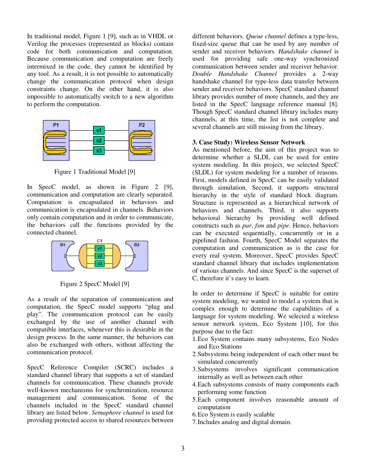In traditional model, Figure 1 [9], such as in VHDL or Verilog the processes (represented as blocks) contain code for both communication and computation. Because communication and computation are freely intermixed in the code, they cannot be identified by any tool. As a result, it is not possible to automatically change the communication protocol when design constraints change. On the other hand, it is also impossible to automatically switch to a new algorithm to perform the computation.



Figure 1 Traditional Model [9]

In SpecC model, as shown in Figure 2 [9], communication and computation are clearly separated. Computation is encapsulated in behaviors and communication is encapsulated in channels. Behaviors only contain computation and in order to communicate, the behaviors call the functions provided by the connected channel.



Figure 2 SpecC Model [9]

As a result of the separation of communication and computation, the SpecC model supports "plug and play". The communication protocol can be easily exchanged by the use of another channel with compatible interfaces, whenever this is desirable in the design process. In the same manner, the behaviors can also be exchanged with others, without affecting the communication protocol.

SpecC Reference Compiler (SCRC) includes a standard channel library that supports a set of standard channels for communication. These channels provide well-known mechanisms for synchronization, resource management and communication. Some of the channels included in the SpecC standard channel library are listed below. *Semaphore channel* is used for providing protected access to shared resources between

different behaviors. *Queue channel* defines a type-less, fixed-size queue that can be used by any number of sender and receiver behaviors. *Handshake channel* is used for providing safe one-way synchronized communication between sender and receiver behavior. *Double Handshake Channel* provides a 2-way handshake channel for type-less data transfer between sender and receiver behaviors. SpecC standard channel library provides number of more channels, and they are listed in the SpecC language reference manual [8]. Though SpecC standard channel library includes many channels, at this time, the list is not complete and several channels are still missing from the library.

## **3. Case Study: Wireless Sensor Network**

As mentioned before, the aim of this project was to determine whether a SLDL can be used for entire system modeling. In this project, we selected SpecC (SLDL) for system modeling for a number of reasons. First, models defined in SpecC can be easily validated through simulation. Second, it supports structural hierarchy in the style of standard block diagram. Structure is represented as a hierarchical network of behaviors and channels. Third, it also supports behavioral hierarchy by providing well defined constructs such as *par*, *fsm* and *pipe*. Hence, behaviors can be executed sequentially, concurrently or in a pipelined fashion. Fourth, SpecC Model separates the computation and communication as is the case for every real system. Moreover, SpecC provides SpecC standard channel library that includes implementation of various channels. And since SpecC is the superset of C, therefore it's easy to learn.

In order to determine if SpecC is suitable for entire system modeling, we wanted to model a system that is complex enough to determine the capabilities of a language for system modeling. We selected a wireless sensor network system, Eco System [10], for this purpose due to the fact:

- 1.Eco System contains many subsystems, Eco Nodes and Eco Stations
- 2.Subsystems being independent of each other must be simulated concurrently
- 3.Subsystems involves significant communication internally as well as between each other
- 4.Each subsystems consists of many components each performing some function
- 5.Each component involves reasonable amount of computation
- 6.Eco System is easily scalable
- 7.Includes analog and digital domain.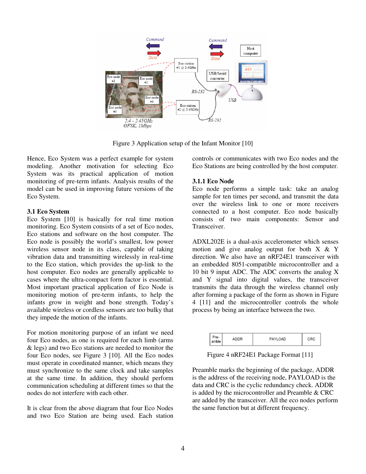

Figure 3 Application setup of the Infant Monitor [10]

Hence, Eco System was a perfect example for system modeling. Another motivation for selecting Eco System was its practical application of motion monitoring of pre-term infants. Analysis results of the model can be used in improving future versions of the Eco System.

## **3.1 Eco System**

Eco System [10] is basically for real time motion monitoring. Eco System consists of a set of Eco nodes, Eco stations and software on the host computer. The Eco node is possibly the world's smallest, low power wireless sensor node in its class, capable of taking vibration data and transmitting wirelessly in real-time to the Eco station, which provides the up-link to the host computer. Eco nodes are generally applicable to cases where the ultra-compact form factor is essential. Most important practical application of Eco Node is monitoring motion of pre-term infants, to help the infants grow in weight and bone strength. Today's available wireless or cordless sensors are too bulky that they impede the motion of the infants.

For motion monitoring purpose of an infant we need four Eco nodes, as one is required for each limb (arms & legs) and two Eco stations are needed to monitor the four Eco nodes, see Figure 3 [10]. All the Eco nodes must operate in coordinated manner, which means they must synchronize to the same clock and take samples at the same time. In addition, they should perform communication scheduling at different times so that the nodes do not interfere with each other.

It is clear from the above diagram that four Eco Nodes and two Eco Station are being used. Each station controls or communicates with two Eco nodes and the Eco Stations are being controlled by the host computer.

## **3.1.1 Eco Node**

Eco node performs a simple task: take an analog sample for ten times per second, and transmit the data over the wireless link to one or more receivers connected to a host computer. Eco node basically consists of two main components: Sensor and Transceiver.

ADXL202E is a dual-axis accelerometer which senses motion and give analog output for both  $X \& Y$ direction. We also have an nRF24E1 transceiver with an embedded 8051-compatible microcontroller and a 10 bit 9 input ADC. The ADC converts the analog X and Y signal into digital values, the transceiver transmits the data through the wireless channel only after forming a package of the form as shown in Figure 4 [11] and the microcontroller controls the whole process by being an interface between the two.

| . re- | PAVI OAD |  |
|-------|----------|--|
|       |          |  |

Figure 4 nRF24E1 Package Format [11]

Preamble marks the beginning of the package, ADDR is the address of the receiving node, PAYLOAD is the data and CRC is the cyclic redundancy check. ADDR is added by the microcontroller and Preamble & CRC are added by the transceiver. All the eco nodes perform the same function but at different frequency.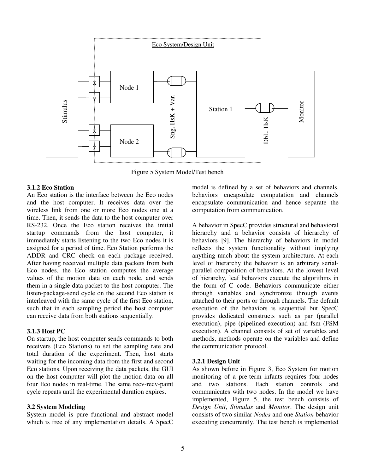

Figure 5 System Model/Test bench

## **3.1.2 Eco Station**

An Eco station is the interface between the Eco nodes and the host computer. It receives data over the wireless link from one or more Eco nodes one at a time. Then, it sends the data to the host computer over RS-232. Once the Eco station receives the initial startup commands from the host computer, it immediately starts listening to the two Eco nodes it is assigned for a period of time. Eco Station performs the ADDR and CRC check on each package received. After having received multiple data packets from both Eco nodes, the Eco station computes the average values of the motion data on each node, and sends them in a single data packet to the host computer. The listen-package-send cycle on the second Eco station is interleaved with the same cycle of the first Eco station, such that in each sampling period the host computer can receive data from both stations sequentially.

## **3.1.3 Host PC**

On startup, the host computer sends commands to both receivers (Eco Stations) to set the sampling rate and total duration of the experiment. Then, host starts waiting for the incoming data from the first and second Eco stations. Upon receiving the data packets, the GUI on the host computer will plot the motion data on all four Eco nodes in real-time. The same recv-recv-paint cycle repeats until the experimental duration expires.

## **3.2 System Modeling**

System model is pure functional and abstract model which is free of any implementation details. A SpecC model is defined by a set of behaviors and channels, behaviors encapsulate computation and channels encapsulate communication and hence separate the computation from communication.

A behavior in SpecC provides structural and behavioral hierarchy and a behavior consists of hierarchy of behaviors [9]. The hierarchy of behaviors in model reflects the system functionality without implying anything much about the system architecture. At each level of hierarchy the behavior is an arbitrary serialparallel composition of behaviors. At the lowest level of hierarchy, leaf behaviors execute the algorithms in the form of C code. Behaviors communicate either through variables and synchronize through events attached to their ports or through channels. The default execution of the behaviors is sequential but SpecC provides dedicated constructs such as par (parallel execution), pipe (pipelined execution) and fsm (FSM execution). A channel consists of set of variables and methods, methods operate on the variables and define the communication protocol.

## **3.2.1 Design Unit**

As shown before in Figure 3, Eco System for motion monitoring of a pre-term infants requires four nodes and two stations. Each station controls and communicates with two nodes. In the model we have implemented, Figure 5, the test bench consists of *Design Unit*, *Stimulus* and *Monitor*. The design unit consists of two similar *Nodes* and one *Station* behavior executing concurrently. The test bench is implemented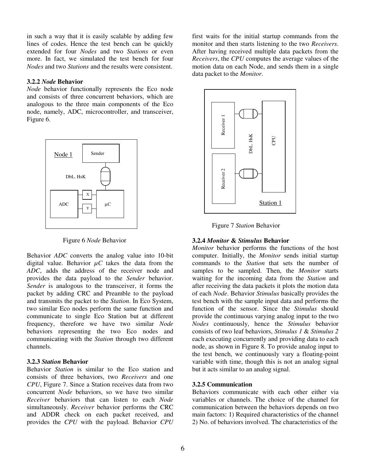in such a way that it is easily scalable by adding few lines of codes. Hence the test bench can be quickly extended for four *Nodes* and two *Stations* or even more. In fact, we simulated the test bench for four *Nodes* and two *Stations* and the results were consistent.

## **3.2.2** *Node* **Behavior**

*Node* behavior functionally represents the Eco node and consists of three concurrent behaviors, which are analogous to the three main components of the Eco node, namely, ADC, microcontroller, and transceiver, Figure 6.



Figure 6 *Node* Behavior

Behavior *ADC* converts the analog value into 10-bit digital value. Behavior  $\mu C$  takes the data from the *ADC*, adds the address of the receiver node and provides the data payload to the *Sender* behavior. *Sender* is analogous to the transceiver, it forms the packet by adding CRC and Preamble to the payload and transmits the packet to the *Station*. In Eco System, two similar Eco nodes perform the same function and communicate to single Eco Station but at different frequency, therefore we have two similar *Node* behaviors representing the two Eco nodes and communicating with the *Station* through two different channels.

## **3.2.3** *Station* **Behavior**

Behavior *Station* is similar to the Eco station and consists of three behaviors, two *Receivers* and one *CPU*, Figure 7. Since a Station receives data from two concurrent *Node* behaviors, so we have two similar *Receiver* behaviors that can listen to each *Node* simultaneously. *Receiver* behavior performs the CRC and ADDR check on each packet received, and provides the *CPU* with the payload. Behavior *CPU*

first waits for the initial startup commands from the monitor and then starts listening to the two *Receivers*. After having received multiple data packets from the *Receivers*, the *CPU* computes the average values of the motion data on each Node, and sends them in a single data packet to the *Monitor*.



Figure 7 *Station* Behavior

## **3.2.4** *Monitor* **&** *Stimulus* **Behavior**

*Monitor* behavior performs the functions of the host computer. Initially, the *Monitor* sends initial startup commands to the *Station* that sets the number of samples to be sampled. Then, the *Monitor* starts waiting for the incoming data from the *Station* and after receiving the data packets it plots the motion data of each *Node*. Behavior *Stimulus* basically provides the test bench with the sample input data and performs the function of the sensor. Since the *Stimulus* should provide the continuous varying analog input to the two *Nodes* continuously, hence the *Stimulus* behavior consists of two leaf behaviors, *Stimulus 1* & *Stimulus 2* each executing concurrently and providing data to each node, as shown in Figure 8. To provide analog input to the test bench, we continuously vary a floating-point variable with time, though this is not an analog signal but it acts similar to an analog signal.

## **3.2.5 Communication**

Behaviors communicate with each other either via variables or channels. The choice of the channel for communication between the behaviors depends on two main factors: 1) Required characteristics of the channel 2) No. of behaviors involved. The characteristics of the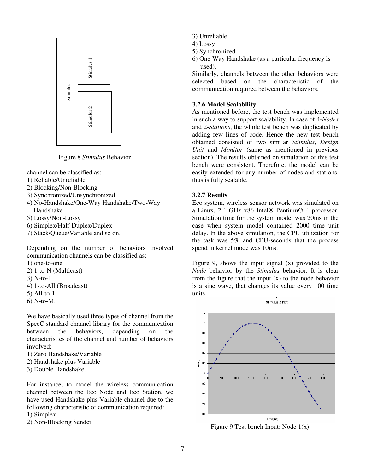

Figure 8 *Stimulus* Behavior

channel can be classified as:

- 1) Reliable/Unreliable
- 2) Blocking/Non-Blocking
- 3) Synchronized/Unsynchronized
- 4) No-Handshake/One-Way Handshake/Two-Way Handshake
- 5) Lossy/Non-Lossy
- 6) Simplex/Half-Duplex/Duplex
- 7) Stack/Queue/Variable and so on.

Depending on the number of behaviors involved communication channels can be classified as:

- 1) one-to-one
- 2) 1-to-N (Multicast)
- 3) N-to-1
- 4) 1-to-All (Broadcast)
- 5) All-to-1
- 6) N-to-M.

We have basically used three types of channel from the SpecC standard channel library for the communication between the behaviors, depending on the characteristics of the channel and number of behaviors involved:

- 1) Zero Handshake/Variable
- 2) Handshake plus Variable
- 3) Double Handshake.

For instance, to model the wireless communication channel between the Eco Node and Eco Station, we have used Handshake plus Variable channel due to the following characteristic of communication required:

1) Simplex

2) Non-Blocking Sender

- 3) Unreliable
- 4) Lossy
- 5) Synchronized
- 6) One-Way Handshake (as a particular frequency is used).

Similarly, channels between the other behaviors were selected based on the characteristic of the communication required between the behaviors.

## **3.2.6 Model Scalability**

As mentioned before, the test bench was implemented in such a way to support scalability. In case of 4-*Nodes* and 2-*Stations*, the whole test bench was duplicated by adding few lines of code. Hence the new test bench obtained consisted of two similar *Stimulus*, *Design Unit* and *Monitor* (same as mentioned in previous section). The results obtained on simulation of this test bench were consistent. Therefore, the model can be easily extended for any number of nodes and stations, thus is fully scalable.

## **3.2.7 Results**

Eco system, wireless sensor network was simulated on a Linux, 2.4 GHz x86 Intel® Pentium® 4 processor. Simulation time for the system model was 20ms in the case when system model contained 2000 time unit delay. In the above simulation, the CPU utilization for the task was 5% and CPU-seconds that the process spend in kernel mode was 10ms.

Figure 9, shows the input signal (x) provided to the *Node* behavior by the *Stimulus* behavior. It is clear from the figure that the input  $(x)$  to the node behavior is a sine wave, that changes its value every 100 time units.



Figure 9 Test bench Input: Node  $1(x)$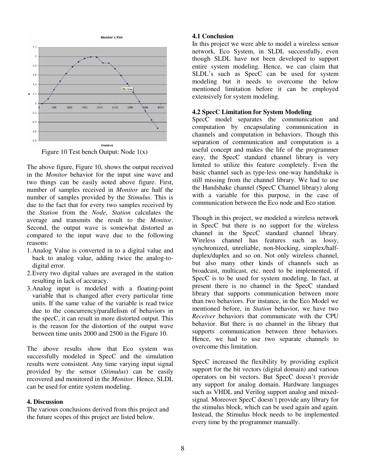

Figure 10 Test bench Output: Node 1(x)

The above figure, Figure 10, shows the output received in the *Monitor* behavior for the input sine wave and two things can be easily noted above figure. First, number of samples received in *Monitor* are half the number of samples provided by the *Stimulus*. This is due to the fact that for every two samples received by the *Station* from the *Node*, *Station* calculates the average and transmits the result to the *Monitor*. Second, the output wave is somewhat distorted as compared to the input wave due to the following reasons:

- 1.Analog Value is converted in to a digital value and back to analog value, adding twice the analog-todigital error.
- 2.Every two digital values are averaged in the station resulting in lack of accuracy.
- 3.Analog input is modeled with a floating-point variable that is changed after every particular time units. If the same value of the variable is read twice due to the concurrency/parallelism of behaviors in the specC, it can result in more distorted output. This is the reason for the distortion of the output wave between time units 2000 and 2500 in the Figure 10.

The above results show that Eco system was successfully modeled in SpecC and the simulation results were consistent. Any time varying input signal provided by the sensor (*Stimulus*) can be easily recovered and monitored in the *Monitor*. Hence, SLDL can be used for entire system modeling.

## **4. Discussion**

The various conclusions derived from this project and the future scopes of this project are listed below.

## **4.1 Conclusion**

In this project we were able to model a wireless sensor network, Eco System, in SLDL successfully, even though SLDL have not been developed to support entire system modeling. Hence, we can claim that SLDL's such as SpecC can be used for system modeling but it needs to overcome the below mentioned limitation before it can be employed extensively for system modeling.

## **4.2 SpecC Limitation for System Modeling**

SpecC model separates the communication and computation by encapsulating communication in channels and computation in behaviors. Though this separation of communication and computation is a useful concept and makes the life of the programmer easy, the SpecC standard channel library is very limited to utilize this feature completely. Even the basic channel such as type-less one-way handshake is still missing from the channel library. We had to use the Handshake channel (SpecC Channel library) along with a variable for this purpose, in the case of communication between the Eco node and Eco station.

Though in this project, we modeled a wireless network in SpecC but there is no support for the wireless channel in the SpecC standard channel library. Wireless channel has features such as lossy, synchronized, unreliable, non-blocking, simplex/halfduplex/duplex and so on. Not only wireless channel, but also many other kinds of channels such as broadcast, multicast, etc. need to be implemented, if SpecC is to be used for system modeling. In fact, at present there is no channel in the SpecC standard library that supports communication between more than two behaviors. For instance, in the Eco Model we mentioned before, in *Station* behavior, we have two *Receiver* behaviors that communicate with the CPU behavior. But there is no channel in the library that supports communication between three behaviors. Hence, we had to use two separate channels to overcome this limitation.

SpecC increased the flexibility by providing explicit support for the bit vectors (digital domain) and various operators on bit vectors. But SpecC doesn't provide any support for analog domain. Hardware languages such as VHDL and Verilog support analog and mixedsignal. Moreover SpecC doesn't provide any library for the stimulus block, which can be used again and again. Instead, the Stimulus block needs to be implemented every time by the programmer manually.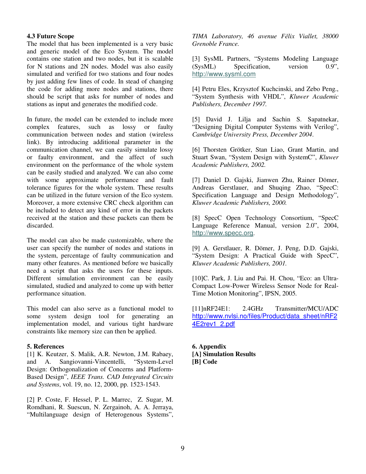## **4.3 Future Scope**

The model that has been implemented is a very basic and generic model of the Eco System. The model contains one station and two nodes, but it is scalable for N stations and 2N nodes. Model was also easily simulated and verified for two stations and four nodes by just adding few lines of code. In stead of changing the code for adding more nodes and stations, there should be script that asks for number of nodes and stations as input and generates the modified code.

In future, the model can be extended to include more complex features, such as lossy or faulty communication between nodes and station (wireless link). By introducing additional parameter in the communication channel, we can easily simulate lossy or faulty environment, and the affect of such environment on the performance of the whole system can be easily studied and analyzed. We can also come with some approximate performance and fault tolerance figures for the whole system. These results can be utilized in the future version of the Eco system. Moreover, a more extensive CRC check algorithm can be included to detect any kind of error in the packets received at the station and these packets can them be discarded.

The model can also be made customizable, where the user can specify the number of nodes and stations in the system, percentage of faulty communication and many other features. As mentioned before we basically need a script that asks the users for these inputs. Different simulation environment can be easily simulated, studied and analyzed to come up with better performance situation.

This model can also serve as a functional model to some system design tool for generating an implementation model, and various tight hardware constraints like memory size can then be applied.

## **5. References**

[1] K. Keutzer, S. Malik, A.R. Newton, J.M. Rabaey, and A. Sangiovanni-Vincentelli, "System-Level Design: Orthogonalization of Concerns and Platform-Based Design", *IEEE Trans. CAD Integrated Circuits and Systems*, vol. 19, no. 12, 2000, pp. 1523-1543.

[2] P. Coste, F. Hessel, P. L. Marrec, Z. Sugar, M. Romdhani, R. Suescun, N. Zergainoh, A. A. Jerraya, "Multilanguage design of Heterogenous Systems",

*TIMA Laboratory, 46 avenue Flix Viallet, 38000 Grenoble France.*

[3] SysML Partners, "Systems Modeling Language (SysML) Specification, version 0.9", http://www.sysml.com

[4] Petru Eles, Krzysztof Kuchcinski, and Zebo Peng., "System Synthesis with VHDL", *Kluwer Academic Publishers, December 1997.*

[5] David J. Lilja and Sachin S. Sapatnekar, "Designing Digital Computer Systems with Verilog", *Cambridge University Press, December 2004*.

[6] Thorsten Grötker, Stan Liao, Grant Martin, and Stuart Swan, "System Design with SystemC", *Kluwer Academic Publishers, 2002.*

[7] Daniel D. Gajski, Jianwen Zhu, Rainer Dömer, Andreas Gerstlauer, and Shuqing Zhao, "SpecC: Specification Language and Design Methodology", *Kluwer Academic Publishers, 2000.*

[8] SpecC Open Technology Consortium, "SpecC Language Reference Manual, version 2.0", 2004, http://www.specc.org.

[9] A. Gerstlauer, R. Dömer, J. Peng, D.D. Gajski, "System Design: A Practical Guide with SpecC", *Kluwer Academic Publishers, 2001.*

[10]C. Park, J. Liu and Pai. H. Chou, "Eco: an Ultra-Compact Low-Power Wireless Sensor Node for Real-Time Motion Monitoring", IPSN, 2005*.*

[11]nRF24E1: 2.4GHz Transmitter/MCU/ADC http://www.nvlsi.no/files/Product/data\_sheet/nRF2 4E2rev1\_2.pdf

**6. Appendix [A] Simulation Results [B] Code**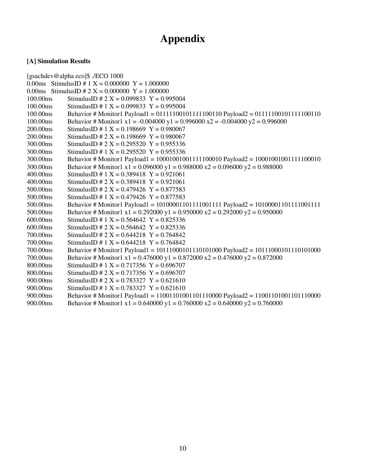# **Appendix**

## **[A] Simulation Results**

[gsachdev@alpha eco]\$ ./ECO 1000 0.00ms StimulusID # 1  $X = 0.000000$   $Y = 1.000000$ 0.00ms StimulusID # 2 X = 0.000000 Y = 1.000000 100.00ms StimulusID # 2 X = 0.099833 Y = 0.995004 100.00ms StimulusID # 1 X = 0.099833 Y = 0.995004 100.00ms Behavior # Monitor1 Payload1 = 01111100101111100110 Payload2 = 01111100101111100110 100.00ms Behavior # Monitor1 x1 = -0.004000 y1 = 0.996000 x2 = -0.004000 y2 = 0.996000 200.00ms StimulusID # 1 X = 0.198669 Y = 0.980067 200.00ms StimulusID #  $2 X = 0.198669 Y = 0.980067$  $300.00$ ms StimulusID # 2 X = 0.295520 Y = 0.955336 300.00ms StimulusID # 1 X = 0.295520 Y = 0.955336 300.00ms Behavior # Monitor1 Payload1 = 10001001001111100010 Payload2 = 10001001001111100010 300.00ms Behavior # Monitor1 x1 = 0.096000 y1 = 0.988000 x2 = 0.096000 y2 = 0.988000 400.00ms StimulusID # 1 X = 0.389418 Y = 0.921061 400.00ms StimulusID #  $2 X = 0.389418$  Y = 0.921061 500.00ms StimulusID # 2 X = 0.479426 Y = 0.877583 500.00ms StimulusID # 1 X = 0.479426 Y = 0.877583 500.00ms Behavior # Monitor1 Payload1 = 10100001101111001111 Payload2 = 10100001101111001111 500.00ms Behavior # Monitor1 x1 = 0.292000 y1 = 0.950000 x2 = 0.292000 y2 = 0.950000 600.00ms StimulusID # 1 X =  $0.564642$  Y =  $0.825336$ 600.00ms StimulusID #  $2 X = 0.564642 Y = 0.825336$ 700.00ms StimulusID # 2 X = 0.644218 Y = 0.764842 700.00ms StimulusID # 1 X = 0.644218 Y = 0.764842 700.00ms Behavior # Monitor1 Payload1 = 10111000101110101000 Payload2 = 10111000101110101000 700.00ms Behavior # Monitor1 x1 = 0.476000 y1 = 0.872000 x2 = 0.476000 y2 = 0.872000 800.00ms StimulusID # 1 X = 0.717356 Y = 0.696707 800.00ms StimulusID #  $2 X = 0.717356 Y = 0.696707$ 900.00ms StimulusID #  $2 X = 0.783327 Y = 0.621610$ 900.00ms StimulusID # 1 X = 0.783327 Y = 0.621610 900.00ms Behavior # Monitor1 Payload1 = 11001101001101110000 Payload2 = 11001101001101110000 900.00ms Behavior # Monitor1 x1 = 0.640000 y1 = 0.760000 x2 = 0.640000 y2 = 0.760000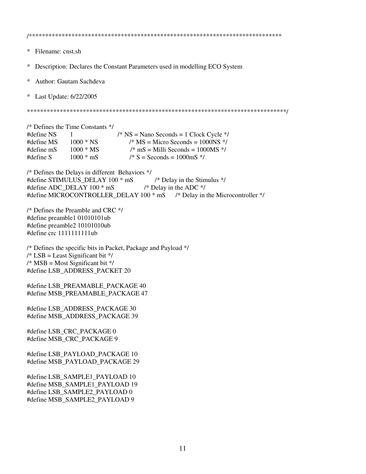$\ast$ Filename: cnst.sh Description: Declares the Constant Parameters used in modelling ECO System  $\ast$  $\ast$ Author: Gautam Sachdeva  $\ast$ Last Update: 6/22/2005 /\* Defines the Time Constants \*/ #define NS  $\mathbf{1}$  $/* NS =$  Nano Seconds = 1 Clock Cycle  $*/$ #define MS  $1000 * NS$  $/* MS = Micro seconds = 1000NS */$ #define mS  $\frac{\text{m}}{\text{s}}$  mS = Milli Seconds = 1000MS  $\frac{\text{s}}{\text{s}}$  $1000 * MS$  $#define S$  $1000 * mS$  $/* S =$  Seconds = 1000mS  $*/$ /\* Defines the Delays in different Behaviors \*/ #define STIMULUS DELAY 100 \* mS /\* Delay in the Stimulus \*/ #define ADC\_DELAY 100 \* mS /\* Delay in the ADC  $*$ / #define MICROCONTROLLER\_DELAY 100 \* mS /\* Delay in the Microcontroller \*/  $/*$  Defines the Preamble and CRC  $*$ / #define preamble1 01010101ub #define preamble2 10101010ub #define crc 1111111111ub /\* Defines the specific bits in Packet, Package and Payload \*/  $/*$  LSB = Least Significant bit  $*/$  $/* MSB = Most Significant bit */$ #define LSB ADDRESS PACKET 20 #define LSB PREAMABLE PACKAGE 40 #define MSB\_PREAMABLE\_PACKAGE 47 #define LSB\_ADDRESS\_PACKAGE 30 #define MSB\_ADDRESS\_PACKAGE 39 #define LSB CRC PACKAGE 0 #define MSB\_CRC\_PACKAGE 9 #define LSB\_PAYLOAD\_PACKAGE 10 #define MSB\_PAYLOAD\_PACKAGE 29 #define LSB SAMPLE1 PAYLOAD 10 #define MSB SAMPLE1 PAYLOAD 19 #define LSB\_SAMPLE2\_PAYLOAD 0 #define MSB SAMPLE2 PAYLOAD 9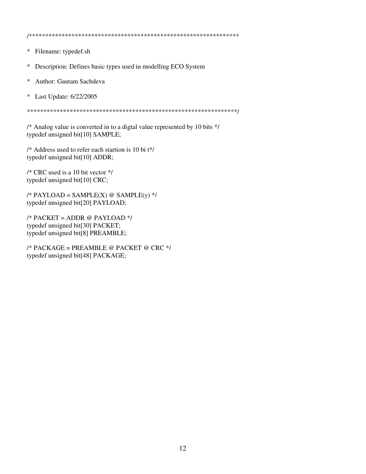Filename: typedef.sh  $\ast$ 

 $\ast$ Description: Defines basic types used in modelling ECO System

Author: Gautam Sachdeva  $\ast$ 

 $\ast$ Last Update: 6/22/2005

/\* Analog value is converted in to a digtal value represented by 10 bits \*/ typedef unsigned bit[10] SAMPLE;

/\* Address used to refer each startion is 10 bi t\*/ typedef unsigned bit[10] ADDR;

/\* CRC used is a 10 bit vector \*/ typedef unsigned bit[10] CRC;

/\* PAYLOAD = SAMPLE(X) @ SAMPLE(y) \*/ typedef unsigned bit[20] PAYLOAD;

 $/*$  PACKET = ADDR @ PAYLOAD  $*/$ typedef unsigned bit[30] PACKET; typedef unsigned bit[8] PREAMBLE;

/\* PACKAGE = PREAMBLE @ PACKET @ CRC \*/ typedef unsigned bit[48] PACKAGE;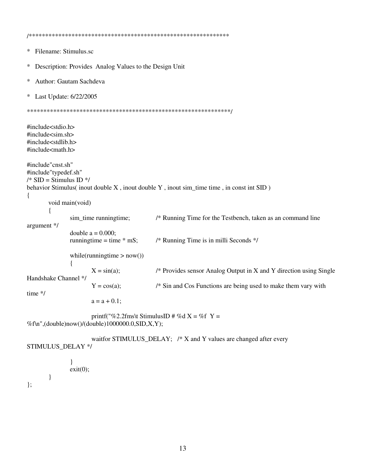Filename: Stimulus.sc  $\ast$  $\ast$ Description: Provides Analog Values to the Design Unit Author: Gautam Sachdeva  $\ast$  $\ast$ Last Update: 6/22/2005 #include<stdio.h>  $\#$ include $\lt$ sim.sh $>$ #include<stdlib.h> #include<math.h> #include"cnst.sh" #include"typedef.sh"  $/*$  SID = Stimulus ID  $*/$ behavior Stimulus(inout double X, inout double Y, inout sim\_time time, in const int SID)  $\{$ void main(void) sim time runningtime; /\* Running Time for the Testbench, taken as an command line argument \*/ double  $a = 0.000$ ; runningtime = time  $*$  mS; /\* Running Time is in milli Seconds \*/ while(runningtime  $>$  now())  $\mathbf{I}$  $X = \sin(a);$  $/*$  Provides sensor Analog Output in X and Y direction using Single Handshake Channel \*/ /\* Sin and Cos Functions are being used to make them vary with  $Y = cos(a);$ time \*/  $a = a + 0.1$ ; printf("%2.2fms\t StimulusID # %d X = %f Y = %f\n",(double)now()/(double)1000000.0,SID,X,Y);

waitfor STIMULUS\_DELAY; /\* X and Y values are changed after every STIMULUS DELAY \*/

```
\}exit(0):
          \}\};
```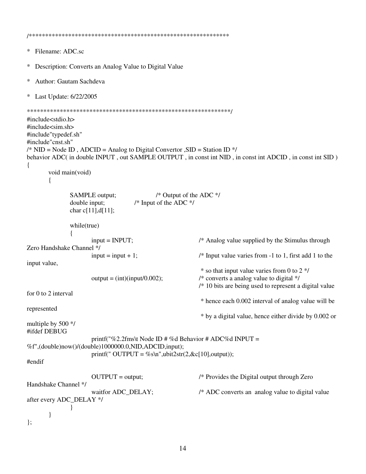```
\astFilename: ADC.sc
  Description: Converts an Analog Value to Digital Value
\ast\astAuthor: Gautam Sachdeva
\astLast Update: 6/22/2005
#include<stdio.h>
#include<sim.sh>
#include"typedef.sh"
#include"cnst.sh"
/* NID = Node ID, ADCID = Analog to Digital Convertor, SID = Station ID * /behavior ADC( in double INPUT, out SAMPLE OUTPUT, in const int NID, in const int ADCID, in const int SID)
\{void main(void)
       \{SAMPLE output;
                                           /* Output of the ADC */
                                    /* Input of the ADC */double input:
              char c[11], d[11];
              while(true)
              \{input = INPUT;/* Analog value supplied by the Stimulus through
Zero Handshake Channel */
                     input = input + 1;
                                                         /* Input value varies from -1 to 1, first add 1 to the
input value,
                                                          * so that input value varies from 0 to 2 \frac{1}{2}output = (int)(input/0.002);/* converts a analog value to digital *//* 10 bits are being used to represent a digital value
for 0 to 2 interval
                                                          * hence each 0.002 interval of analog value will be
represented
                                                          * by a digital value, hence either divide by 0.002 or
multiple by 500 */
#ifdef DEBUG
                     printf("%2.2fms\t Node ID # %d Behavior # ADC%d INPUT =
%f",(double)now()/(double)1000000.0,NID,ADCID,input);
                      printf(" OUTPUT = %s\n",ubit2str(2,&c[10],output));
#endif
                                                         /* Provides the Digital output through Zero
                      OUTPUT = output;Handshake Channel */
                      waitfor ADC_DELAY;
                                                         /* ADC converts an analog value to digital value
after every ADC_DELAY */
              \mathcal{E}ļ
\mathcal{E}
```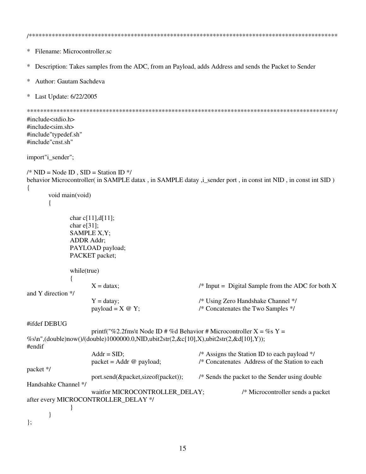```
\astFilename: Microcontroller.sc
  Description: Takes samples from the ADC, from an Payload, adds Address and sends the Packet to Sender
\ast\astAuthor: Gautam Sachdeva
\astLast Update: 6/22/2005
#include<stdio.h>
#include<sim.sh>
#include"typedef.sh"
#include"cnst.sh"
import"i_sender";
\frac{\text{A}}{\text{N}} NID = Node ID . SID = Station ID \frac{\text{A}}{\text{A}}behavior Microcontroller( in SAMPLE datax, in SAMPLE datay, i_sender port, in const int NID, in const int SID)
\{void main(void)
       \{char c[11], d[11];
             char e[31];
             SAMPLE X, Y;
             ADDR Addr;
             PAYLOAD payload;
             PACKET packet:
             while(true)
              \{/* Input = Digital Sample from the ADC for both X
                    X = datax:
and Y direction */
                                                       /* Using Zero Handshake Channel */
                    Y = \text{data}y;
                    payload = X @ Y;/* Concatenates the Two Samples */
#ifdef DEBUG
                    printf("%2.2fms\t Node ID # %d Behavior # Microcontroller X = \%s Y =%s\n",(double)now()/(double)1000000.0,NID,ubit2str(2,&c[10],X),ubit2str(2,&d[10],Y));
#endif
                    Addr = SID;/* Assigns the Station ID to each payload */
                    packet = Addr \ @pyload;/* Concatenates Address of the Station to each
packet */
                    port.send(&packet,sizeof(packet));
                                                       /* Sends the packet to the Sender using double
Handsahke Channel */
                    waitfor MICROCONTROLLER_DELAY;
                                                                    /* Microcontroller sends a packet
after every MICROCONTROLLER DELAY */
              \mathbf{\}ļ
\mathcal{E}
```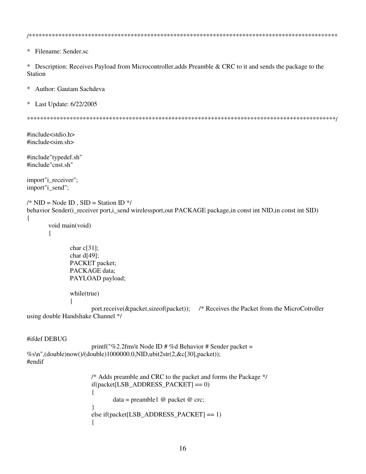$\ast$ Filename: Sender.sc

 $\ast$ Description: Receives Payload from Microcontroller, adds Preamble & CRC to it and sends the package to the **Station** 

 $\ast$ Author: Gautam Sachdeva

Last Update: 6/22/2005  $\ast$ 

 $\#$ include $\lt$ stdio.h>  $\#include$ sim.sh>

#include"typedef.sh" #include"cnst.sh"

import"i receiver"; import"i\_send";

 $\{$ 

```
/* NID = Node ID, SID = Station ID */behavior Sender(i_receiver port,i_send wirelessport,out PACKAGE package,in const int NID,in const int SID)
```

```
void main(void)
\{
```

```
char c[31];
              char d[49];
              PACKET packet;
              PACKAGE data;
              PAYLOAD payload;
              while(true)
                      port.receive(&packet,sizeof(packet)); /* Receives the Packet from the MicroCotroller
using double Handshake Channel */
```
## #ifdef DEBUG

```
printf("%2.2fms\t Node ID # %d Behavior # Sender packet =
%s\n",(double)now()/(double)1000000.0,NID,ubit2str(2,&c[30],packet));
#endif
```

```
/* Adds preamble and CRC to the packet and forms the Package */
if (packet [LSB_ADDRESS_PACKET] == 0)\{data = preamble 1 @ packet @ crc;
else if(packet[LSB_ADDRESS_PACKET] == 1)
```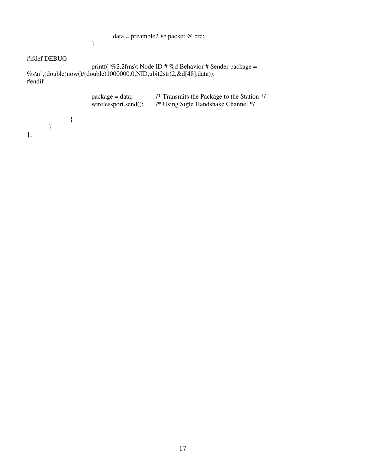data = preamble2 @ packet @ crc;

## }

## #ifdef DEBUG

printf("%2.2fms\t Node ID # %d Behavior # Sender package = %s\n",(double)now()/(double)1000000.0,NID,ubit2str(2,&d[48],data)); #endif

|  | $package = data;$<br>wirelessport.send(); | /* Transmits the Package to the Station */<br>/* Using Sigle Handshake Channel */ |
|--|-------------------------------------------|-----------------------------------------------------------------------------------|
|  |                                           |                                                                                   |

17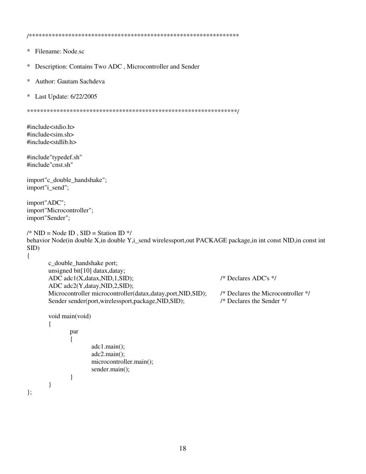- Filename: Node.sc  $\ast$
- $\ast$ Description: Contains Two ADC, Microcontroller and Sender
- Author: Gautam Sachdeva  $\ast$
- $\ast$ Last Update: 6/22/2005

#include<stdio.h> #include<sim.sh> #include<stdlib.h>

#include"typedef.sh" #include"cnst.sh"

import"c\_double\_handshake"; import"i\_send";

import"ADC"; import"Microcontroller"; import"Sender";

 $\}$ 

```
/* NID = Node ID, SID = Station ID */behavior Node(in double X,in double Y,i_send wirelessport, out PACKAGE package, in int const NID, in const int
SID)\left\{ \right.
```

```
c_double_handshake port;
unsigned bit[10] datax, datay;
ADC adc1(X,datax,NID,1,SID);
ADC adc2(Y,datay,NID,2,SID);
Microcontroller microcontroller(datax,datay,port,NID,SID);
Sender sender(port,wirelessport,package,NID,SID);
```

```
void main(void)
         par
         \{adc1.mainloop.main();
                  adc2.mainloop;
                  microcontroller.main();
                  sender.main();
         \}\}
```
 $/*$  Declares ADC's  $*/$ 

/\* Declares the Microcontroller \*/ /\* Declares the Sender  $*/$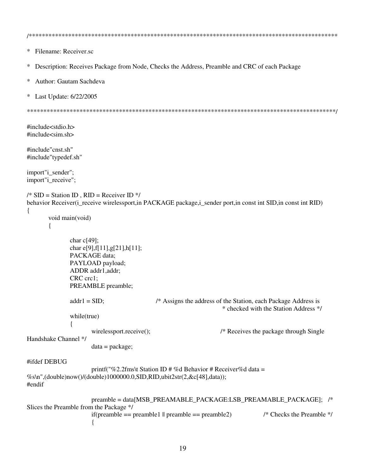```
\astFilename: Receiver.sc
  Description: Receives Package from Node, Checks the Address, Preamble and CRC of each Package
\ast\astAuthor: Gautam Sachdeva
\astLast Update: 6/22/2005
#include<stdio.h>
\#include\ltsim.sh>#include"cnst.sh"
#include"typedef.sh"
import"i_sender";
import"i receive";
/* SID = Station ID, RID = Receiver ID */behavior Receiver(i_receive wirelessport,in PACKAGE package,i_sender port,in const int SID,in const int RID)
\{void main(void)
      ∤
             char c[49];
             char e[9], f[11], g[21], h[11];
             PACKAGE data;
             PAYLOAD payload;
             ADDR addr1,addr;
             CRC crc1:
             PREAMBLE preamble;
                                      /* Assigns the address of the Station, each Package Address is
             addr1 = SID;* checked with the Station Address */
             while(true)
                                                         /* Receives the package through Single
                   wirelessport.receive();
Handshake Channel */
                   data = package;#ifdef DEBUG
                   printf("%2.2fms\t Station ID # %d Behavior # Receiver%d data =
%s\n",(double)now()/(double)1000000.0,SID,RID,ubit2str(2,&c[48],data));
#endif
                   preamble = data[MSB_PREAMABLE_PACKAGE:LSB_PREAMABLE_PACKAGE]; /*
Slices the Preamble from the Package */
                                                                      /* Checks the Preamble */
                   if (preamble == preamble1 || preamble == preamble2)\{
```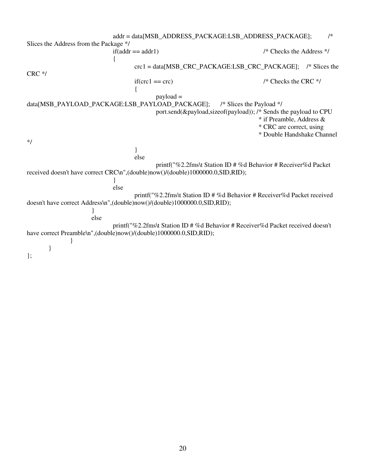addr = data[MSB\_ADDRESS\_PACKAGE:LSB\_ADDRESS\_PACKAGE]; /\* Slices the Address from the Package \*/  $if(addr == addr1)$  /\* Checks the Address \*/ { crc1 = data[MSB\_CRC\_PACKAGE:LSB\_CRC\_PACKAGE]; /\* Slices the CRC \*/  $if($ crc $1 =$ crc $)$  /\* Checks the CRC \*/ { payload = data[MSB\_PAYLOAD\_PACKAGE:LSB\_PAYLOAD\_PACKAGE]; /\* Slices the Payload \*/ port.send(&payload,sizeof(payload)); /\* Sends the payload to CPU \* if Preamble, Address & \* CRC are correct, using \* Double Handshake Channel \*/ } else printf("%2.2fms\t Station ID # %d Behavior # Receiver%d Packet received doesn't have correct CRC\n",(double)now()/(double)1000000.0,SID,RID); } else printf("%2.2fms\t Station ID # %d Behavior # Receiver%d Packet received doesn't have correct Address\n",(double)now()/(double)1000000.0,SID,RID); } else printf("%2.2fms\t Station ID # %d Behavior # Receiver%d Packet received doesn't have correct Preamble\n",(double)now()/(double)1000000.0,SID,RID); } } };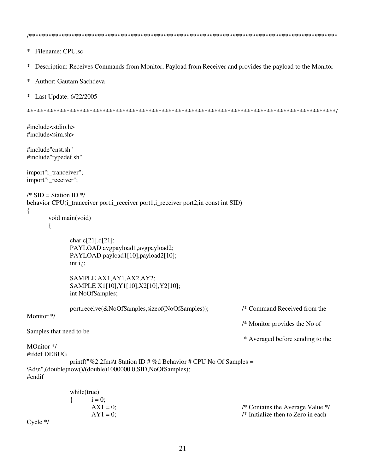```
\astFilename: CPU.sc
\astDescription: Receives Commands from Monitor, Payload from Receiver and provides the payload to the Monitor
  Author: Gautam Sachdeva
\ast\astLast Update: 6/22/2005
#include<stdio.h>
#include<sim.sh>
#include"cnst.sh"
#include"typedef.sh"
import"i tranceiver";
import"i receiver";
/* SID = Station ID */behavior CPU(i_tranceiver port,i_receiver port1,i_receiver port2,in const int SID)
\{void main(void)
      \{char c[21], d[21];
            PAYLOAD avgpayload1, avgpayload2;
            PAYLOAD payload1[10], payload2[10];
            int i, j;
            SAMPLE AX1, AY1, AX2, AY2;
            SAMPLE X1[10], Y1[10], X2[10], Y2[10];
            int NoOfSamples;
            port.receive(&NoOfSamples,sizeof(NoOfSamples));
                                                               /* Command Received from the
Monitor */
                                                               /* Monitor provides the No of
Samples that need to be
                                                                * Averaged before sending to the
MOnitor */
#ifdef DEBUG
            printf("%2.2fms\t Station ID # %d Behavior # CPU No Of Samples =
%d\n",(double)now()/(double)1000000.0,SID,NoOfSamples);
#endif
            while(true)
                   i = 0:
             ſ
                   AX1 = 0;
                                                               /* Contains the Average Value */
```
 $/*$  Initialize then to Zero in each

 $C$ ycle  $*/$ 

 $AY1 = 0$ ;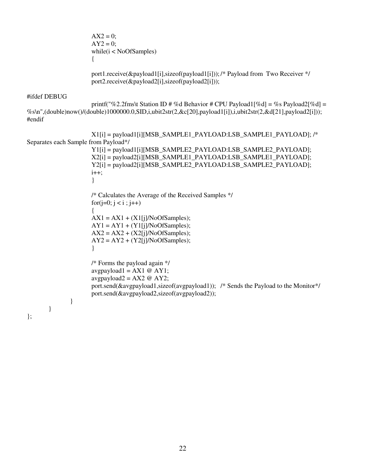$AX2 = 0$ ;  $AY2 = 0$ ; while(i < NoOfSamples) {

port1.receive(&payload1[i],sizeof(payload1[i])); /\* Payload from Two Receiver \*/ port2.receive(&payload2[i],sizeof(payload2[i]));

### #ifdef DEBUG

printf("%2.2fms\t Station ID # %d Behavior # CPU Payload1[%d] = %s Payload2[%d] = %s\n",(double)now()/(double)1000000.0,SID,i,ubit2str(2,&c[20],payload1[i]),i,ubit2str(2,&d[21],payload2[i])); #endif

X1[i] = payload1[i][MSB\_SAMPLE1\_PAYLOAD:LSB\_SAMPLE1\_PAYLOAD]; /\* Separates each Sample from Payload\*/ Y1[i] = payload1[i][MSB\_SAMPLE2\_PAYLOAD:LSB\_SAMPLE2\_PAYLOAD]; X2[i] = payload2[i][MSB\_SAMPLE1\_PAYLOAD:LSB\_SAMPLE1\_PAYLOAD]; Y2[i] = payload2[i][MSB\_SAMPLE2\_PAYLOAD:LSB\_SAMPLE2\_PAYLOAD];  $i++$ : } /\* Calculates the Average of the Received Samples \*/ for( $j=0$ ;  $j < i$ ;  $j++)$ {  $AX1 = AX1 + (X1[i]/NoOf Samples);$  $AY1 = AY1 + (Y1[i]/NoOf Samples);$  $AX2 = AX2 + (X2[i]/NoOf Samples);$  $AY2 = AY2 + (Y2[i]/NoOf Samples);$ } /\* Forms the payload again \*/ avgpayload1 =  $AX1 @ AY1;$ avgpayload2 =  $AX2 @ AY2$ ; port.send(&avgpayload1,sizeof(avgpayload1)); /\* Sends the Payload to the Monitor\*/ port.send(&avgpayload2,sizeof(avgpayload2)); } } };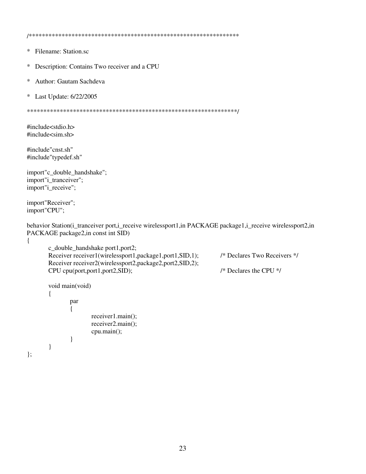/\*\*\*\*\*\*\*\*\*\*\*\*\*\*\*\*\*\*\*\*\*\*\*\*\*\*\*\*\*\*\*\*\*\*\*\*\*\*\*\*\*\*\*\*\*\*\*\*\*\*\*\*\*\*\*\*\*\*\*\*\*\*\*\*

- \* Filename: Station.sc
- \* Description: Contains Two receiver and a CPU
- \* Author: Gautam Sachdeva
- \* Last Update: 6/22/2005

\*\*\*\*\*\*\*\*\*\*\*\*\*\*\*\*\*\*\*\*\*\*\*\*\*\*\*\*\*\*\*\*\*\*\*\*\*\*\*\*\*\*\*\*\*\*\*\*\*\*\*\*\*\*\*\*\*\*\*\*\*\*\*\*/

#include<stdio.h> #include<sim.sh>

#include"cnst.sh" #include"typedef.sh"

import"c\_double\_handshake"; import"i\_tranceiver"; import"i\_receive";

}

}

};

import"Receiver"; import"CPU";

behavior Station(i\_tranceiver port,i\_receive wirelessport1,in PACKAGE package1,i\_receive wirelessport2,in PACKAGE package2,in const int SID)

```
{
```

```
c_double_handshake port1,port2;
Receiver receiver 1(wirelessport1,package1,port1,SID,1); /* Declares Two Receivers */
Receiver receiver2(wirelessport2,package2,port2,SID,2);
CPU cpu(port,port1,port2,SID); /* Declares the CPU */
void main(void)
{
      par
       {
```
receiver1.main(); receiver2.main(); cpu.main();

23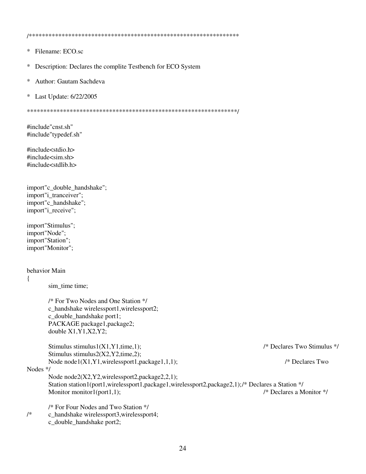/\*\*\*\*\*\*\*\*\*\*\*\*\*\*\*\*\*\*\*\*\*\*\*\*\*\*\*\*\*\*\*\*\*\*\*\*\*\*\*\*\*\*\*\*\*\*\*\*\*\*\*\*\*\*\*\*\*\*\*\*\*\*\*\*

- \* Filename: ECO.sc
- \* Description: Declares the complite Testbench for ECO System
- \* Author: Gautam Sachdeva
- \* Last Update: 6/22/2005

\*\*\*\*\*\*\*\*\*\*\*\*\*\*\*\*\*\*\*\*\*\*\*\*\*\*\*\*\*\*\*\*\*\*\*\*\*\*\*\*\*\*\*\*\*\*\*\*\*\*\*\*\*\*\*\*\*\*\*\*\*\*\*\*/

#include"cnst.sh" #include"typedef.sh"

#include<stdio.h>  $\#$ include $\lt$ sim.sh $>$ #include<stdlib.h>

```
import"c_double_handshake";
import"i_tranceiver";
import"c_handshake";
import"i_receive";
```
import"Stimulus"; import"Node"; import"Station"; import"Monitor";

## behavior Main

#### {

sim\_time time;

/\* For Two Nodes and One Station \*/ c\_handshake wirelessport1,wirelessport2; c\_double\_handshake port1; PACKAGE package1,package2; double X1,Y1,X2,Y2;

```
Stimulus stimulus1(X1,Y1,time,1); /* Declares Two Stimulus */
Stimulus stimulus2(X2,Y2,time,2);
Node node1(X1,Y1,wirelessport1,package1,1,1); /* Declares Two
```
#### Nodes \*/

Node node2(X2,Y2,wirelessport2,package2,2,1); Station station1(port1,wirelessport1,package1,wirelessport2,package2,1);/\* Declares a Station \*/<br>Monitor monitor1(port1,1);<br>/\* Declares a Monitor \*/ Monitor monitor1(port1,1);

/\* For Four Nodes and Two Station \*/

- /\* c\_handshake wirelessport3,wirelessport4;
	- c\_double\_handshake port2;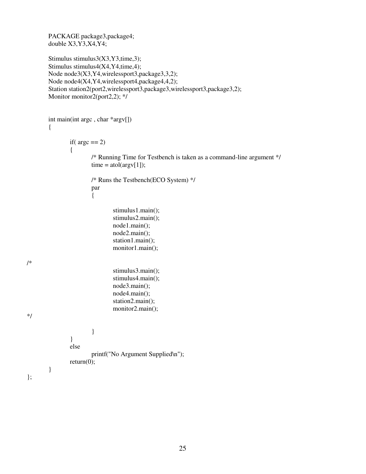PACKAGE package3,package4; double  $X3,\overline{Y3},\overline{X4},\overline{Y4}$ ;

/\*

\*/

};

```
Stimulus stimulus3(X3,Y3,time,3);
Stimulus stimulus4(X4,Y4,time,4);
Node node3(X3,Y4,wirelessport3,package3,3,2);
Node node4(X4,Y4,wirelessport4,package4,4,2);
Station station2(port2,wirelessport3,package3,wirelessport3,package3,2);
Monitor monitor2(port2,2); */
```

```
int main(int argc , char *argv[])
{
        if(\text{argc} == 2)
        {
                /* Running Time for Testbench is taken as a command-line argument */
                time = \text{atol}(\text{arg}(\text{1}));/* Runs the Testbench(ECO System) */
                par
                 {
                         stimulus1.main();
                         stimulus2.main();
                         node1.main();
                         node2.main();
                         station1.main();
                         monitor1.main();
                         stimulus3.main();
                         stimulus4.main();
                         node3.main();
                         node4.main();
                         station2.main();
                         monitor2.main();
                 }
        }
        else
                printf("No Argument Supplied\n");
        return(0);
}
```